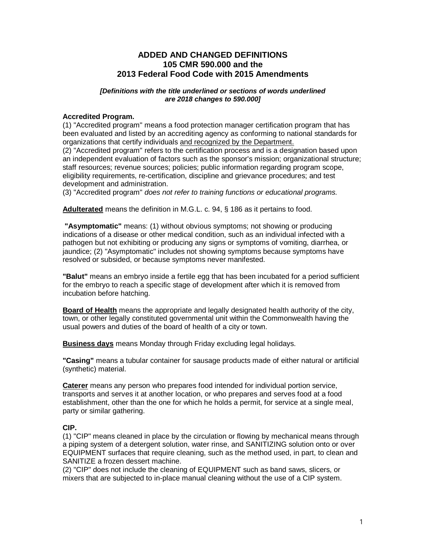# **ADDED AND CHANGED DEFINITIONS 105 CMR 590.000 and the 2013 Federal Food Code with 2015 Amendments**

#### *[Definitions with the title underlined or sections of words underlined are 2018 changes to 590.000]*

## **Accredited Program.**

(1) "Accredited program" means a food protection manager certification program that has been evaluated and listed by an accrediting agency as conforming to national standards for organizations that certify individuals and recognized by the Department.

(2) "Accredited program" refers to the certification process and is a designation based upon an independent evaluation of factors such as the sponsor's mission; organizational structure; staff resources; revenue sources; policies; public information regarding program scope, eligibility requirements, re-certification, discipline and grievance procedures; and test development and administration.

(3) "Accredited program" *does not refer to training functions or educational programs.*

**Adulterated** means the definition in M.G.L. c. 94, § 186 as it pertains to food.

**"Asymptomatic"** means: (1) without obvious symptoms; not showing or producing indications of a disease or other medical condition, such as an individual infected with a pathogen but not exhibiting or producing any signs or symptoms of vomiting, diarrhea, or jaundice; (2) "Asymptomatic" includes not showing symptoms because symptoms have resolved or subsided, or because symptoms never manifested.

**"Balut"** means an embryo inside a fertile egg that has been incubated for a period sufficient for the embryo to reach a specific stage of development after which it is removed from incubation before hatching.

**Board of Health** means the appropriate and legally designated health authority of the city, town, or other legally constituted governmental unit within the Commonwealth having the usual powers and duties of the board of health of a city or town.

**Business days** means Monday through Friday excluding legal holidays.

**"Casing"** means a tubular container for sausage products made of either natural or artificial (synthetic) material.

**Caterer** means any person who prepares food intended for individual portion service, transports and serves it at another location, or who prepares and serves food at a food establishment, other than the one for which he holds a permit, for service at a single meal, party or similar gathering.

## **CIP.**

(1) "CIP" means cleaned in place by the circulation or flowing by mechanical means through a piping system of a detergent solution, water rinse, and SANITIZING solution onto or over EQUIPMENT surfaces that require cleaning, such as the method used, in part, to clean and SANITIZE a frozen dessert machine.

(2) "CIP" does not include the cleaning of EQUIPMENT such as band saws, slicers, or mixers that are subjected to in-place manual cleaning without the use of a CIP system.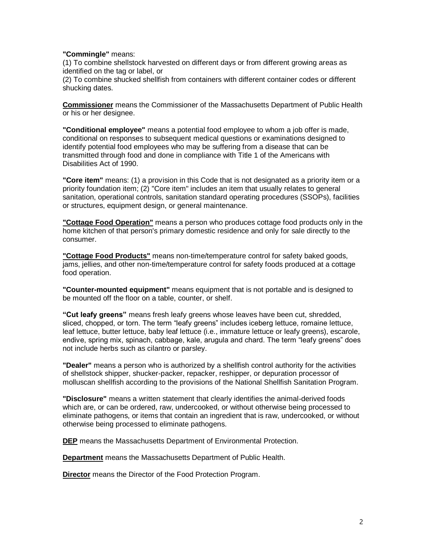#### **"Commingle"** means:

(1) To combine shellstock harvested on different days or from different growing areas as identified on the tag or label, or

(2) To combine shucked shellfish from containers with different container codes or different shucking dates.

**Commissioner** means the Commissioner of the Massachusetts Department of Public Health or his or her designee.

**"Conditional employee"** means a potential food employee to whom a job offer is made, conditional on responses to subsequent medical questions or examinations designed to identify potential food employees who may be suffering from a disease that can be transmitted through food and done in compliance with Title 1 of the Americans with Disabilities Act of 1990.

**"Core item"** means: (1) a provision in this Code that is not designated as a priority item or a priority foundation item; (2) "Core item" includes an item that usually relates to general sanitation, operational controls, sanitation standard operating procedures (SSOPs), facilities or structures, equipment design, or general maintenance.

**"Cottage Food Operation"** means a person who produces cottage food products only in the home kitchen of that person's primary domestic residence and only for sale directly to the consumer.

**"Cottage Food Products"** means non-time/temperature control for safety baked goods, jams, jellies, and other non-time/temperature control for safety foods produced at a cottage food operation.

**"Counter-mounted equipment"** means equipment that is not portable and is designed to be mounted off the floor on a table, counter, or shelf.

**"Cut leafy greens"** means fresh leafy greens whose leaves have been cut, shredded, sliced, chopped, or torn. The term "leafy greens" includes iceberg lettuce, romaine lettuce, leaf lettuce, butter lettuce, baby leaf lettuce (i.e., immature lettuce or leafy greens), escarole, endive, spring mix, spinach, cabbage, kale, arugula and chard. The term "leafy greens" does not include herbs such as cilantro or parsley.

**"Dealer"** means a person who is authorized by a shellfish control authority for the activities of shellstock shipper, shucker-packer, repacker, reshipper, or depuration processor of molluscan shellfish according to the provisions of the National Shellfish Sanitation Program.

**"Disclosure"** means a written statement that clearly identifies the animal-derived foods which are, or can be ordered, raw, undercooked, or without otherwise being processed to eliminate pathogens, or items that contain an ingredient that is raw, undercooked, or without otherwise being processed to eliminate pathogens.

**DEP** means the Massachusetts Department of Environmental Protection.

**Department** means the Massachusetts Department of Public Health.

**Director** means the Director of the Food Protection Program.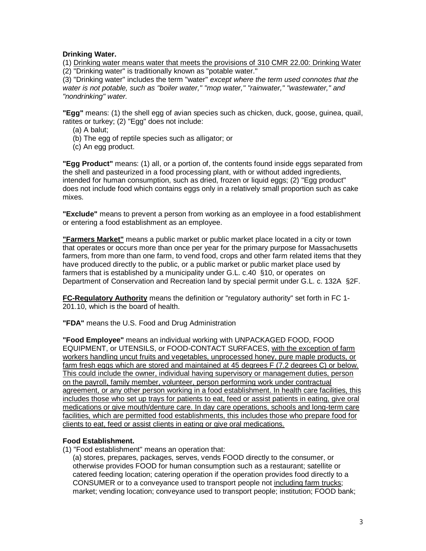## **Drinking Water.**

(1) Drinking water means water that meets the provisions of 310 CMR 22.00: Drinking Water (2) "Drinking water" is traditionally known as "potable water."

(3) "Drinking water" includes the term "water" *except where the term used connotes that the water is not potable, such as "boiler water," "mop water," "rainwater," "wastewater," and "nondrinking" water.*

**"Egg"** means: (1) the shell egg of avian species such as chicken, duck, goose, guinea, quail, ratites or turkey; (2) "Egg" does not include:

- (a) A balut;
- (b) The egg of reptile species such as alligator; or
- (c) An egg product.

**"Egg Product"** means: (1) all, or a portion of, the contents found inside eggs separated from the shell and pasteurized in a food processing plant, with or without added ingredients, intended for human consumption, such as dried, frozen or liquid eggs; (2) "Egg product" does not include food which contains eggs only in a relatively small proportion such as cake mixes.

**"Exclude"** means to prevent a person from working as an employee in a food establishment or entering a food establishment as an employee.

**"Farmers Market"** means a public market or public market place located in a city or town that operates or occurs more than once per year for the primary purpose for Massachusetts farmers, from more than one farm, to vend food, crops and other farm related items that they have produced directly to the public, or a public market or public market place used by farmers that is established by a municipality under G.L. c.40 §10, or operates on Department of Conservation and Recreation land by special permit under G.L. c. 132A §2F.

**FC-Regulatory Authority** means the definition or "regulatory authority" set forth in FC 1- 201.10, which is the board of health.

**"FDA"** means the U.S. Food and Drug Administration

**"Food Employee"** means an individual working with UNPACKAGED FOOD, FOOD EQUIPMENT, or UTENSILS, or FOOD-CONTACT SURFACES, with the exception of farm workers handling uncut fruits and vegetables, unprocessed honey, pure maple products, or farm fresh eggs which are stored and maintained at 45 degrees F (7.2 degrees C) or below. This could include the owner, individual having supervisory or management duties, person on the payroll, family member, volunteer, person performing work under contractual agreement, or any other person working in a food establishment. In health care facilities, this includes those who set up trays for patients to eat, feed or assist patients in eating, give oral medications or give mouth/denture care. In day care operations, schools and long-term care facilities, which are permitted food establishments, this includes those who prepare food for clients to eat, feed or assist clients in eating or give oral medications.

## **Food Establishment.**

(1) "Food establishment" means an operation that:

 (a) stores, prepares, packages, serves, vends FOOD directly to the consumer, or otherwise provides FOOD for human consumption such as a restaurant; satellite or catered feeding location; catering operation if the operation provides food directly to a CONSUMER or to a conveyance used to transport people not including farm trucks; market; vending location; conveyance used to transport people; institution; FOOD bank;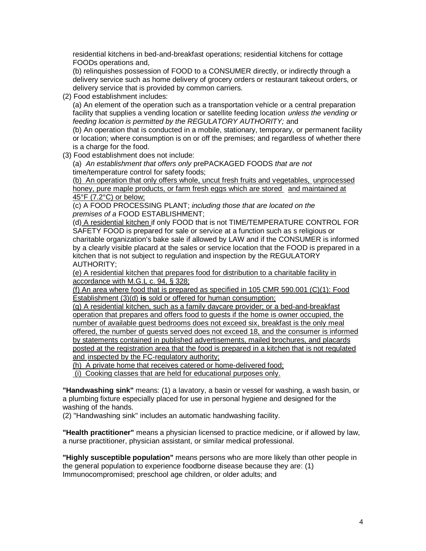residential kitchens in bed-and-breakfast operations; residential kitchens for cottage FOODs operations and,

(b) relinquishes possession of FOOD to a CONSUMER directly, or indirectly through a delivery service such as home delivery of grocery orders or restaurant takeout orders, or delivery service that is provided by common carriers.

(2) Food establishment includes:

(a) An element of the operation such as a transportation vehicle or a central preparation facility that supplies a vending location or satellite feeding location *unless the vending or feeding location is permitted by the REGULATORY AUTHORITY;* and

(b) An operation that is conducted in a mobile, stationary, temporary, or permanent facility or location; where consumption is on or off the premises; and regardless of whether there is a charge for the food.

(3) Food establishment does not include:

(a) *An establishment that offers only* prePACKAGED FOODS *that are not*  time/temperature control for safety foods;

(b) An operation that only offers whole, uncut fresh fruits and vegetables, unprocessed honey, pure maple products, or farm fresh eggs which are stored and maintained at 45°F (7.2°C) or below;

(c) A FOOD PROCESSING PLANT; *including those that are located on the premises of a* FOOD ESTABLISHMENT;

(d) A residential kitchen if only FOOD that is not TIME/TEMPERATURE CONTROL FOR SAFETY FOOD is prepared for sale or service at a function such as s religious or charitable organization's bake sale if allowed by LAW and if the CONSUMER is informed by a clearly visible placard at the sales or service location that the FOOD is prepared in a kitchen that is not subject to regulation and inspection by the REGULATORY AUTHORITY;

(e) A residential kitchen that prepares food for distribution to a charitable facility in accordance with M.G.L c. 94, § 328;

(f) An area where food that is prepared as specified in 105 CMR 590.001 (C)(1): Food Establishment (3)(d) **is** sold or offered for human consumption;

(g) A residential kitchen, such as a family daycare provider; or a bed-and-breakfast operation that prepares and offers food to guests if the home is owner occupied, the number of available guest bedrooms does not exceed six, breakfast is the only meal offered, the number of guests served does not exceed 18, and the consumer is informed by statements contained in published advertisements, mailed brochures, and placards posted at the registration area that the food is prepared in a kitchen that is not regulated and inspected by the FC-regulatory authority;

(h) A private home that receives catered or home-delivered food;

(i) Cooking classes that are held for educational purposes only.

**"Handwashing sink"** means: (1) a lavatory, a basin or vessel for washing, a wash basin, or a plumbing fixture especially placed for use in personal hygiene and designed for the washing of the hands.

(2) "Handwashing sink" includes an automatic handwashing facility.

**"Health practitioner"** means a physician licensed to practice medicine, or if allowed by law, a nurse practitioner, physician assistant, or similar medical professional.

**"Highly susceptible population"** means persons who are more likely than other people in the general population to experience foodborne disease because they are: (1) Immunocompromised; preschool age children, or older adults; and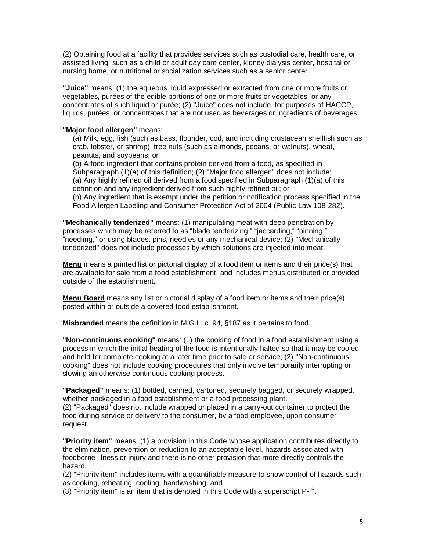(2) Obtaining food at a facility that provides services such as custodial care, health care, or assisted living, such as a child or adult day care center, kidney dialysis center, hospital or nursing home, or nutritional or socialization services such as a senior center.

**"Juice"** means: (1) the aqueous liquid expressed or extracted from one or more fruits or vegetables, purées of the edible portions of one or more fruits or vegetables, or any concentrates of such liquid or purée; (2) "Juice" does not include, for purposes of HACCP, liquids, purées, or concentrates that are not used as beverages or ingredients of beverages.

## **"Major food allergen"** means:

(a) Milk, egg, fish (such as bass, flounder, cod, and including crustacean shellfish such as crab, lobster, or shrimp), tree nuts (such as almonds, pecans, or walnuts), wheat, peanuts, and soybeans; or

(b) A food ingredient that contains protein derived from a food, as specified in Subparagraph (1)(a) of this definition; (2) "Major food allergen" does not include: (a) Any highly refined oil derived from a food specified in Subparagraph (1)(a) of this definition and any ingredient derived from such highly refined oil; or (b) Any ingredient that is exempt under the petition or notification process specified in the Food Allergen Labeling and Consumer Protection Act of 2004 (Public Law 108-282).

**"Mechanically tenderized"** means: (1) manipulating meat with deep penetration by processes which may be referred to as "blade tenderizing," "jaccarding," "pinning," "needling," or using blades, pins, needles or any mechanical device; (2) "Mechanically tenderized" does not include processes by which solutions are injected into meat.

**Menu** means a printed list or pictorial display of a food item or items and their price(s) that are available for sale from a food establishment, and includes menus distributed or provided outside of the establishment.

**Menu Board** means any list or pictorial display of a food item or items and their price(s) posted within or outside a covered food establishment.

**Misbranded** means the definition in M.G.L. c. 94, §187 as it pertains to food.

**"Non-continuous cooking"** means: (1) the cooking of food in a food establishment using a process in which the initial heating of the food is intentionally halted so that it may be cooled and held for complete cooking at a later time prior to sale or service; (2) "Non-continuous cooking" does not include cooking procedures that only involve temporarily interrupting or slowing an otherwise continuous cooking process.

**"Packaged"** means: (1) bottled, canned, cartoned, securely bagged, or securely wrapped, whether packaged in a food establishment or a food processing plant. (2) "Packaged" does not include wrapped or placed in a carry-out container to protect the food during service or delivery to the consumer, by a food employee, upon consumer request.

**"Priority item"** means: (1) a provision in this Code whose application contributes directly to the elimination, prevention or reduction to an acceptable level, hazards associated with foodborne illness or injury and there is no other provision that more directly controls the hazard.

(2) "Priority item" includes items with a quantifiable measure to show control of hazards such as cooking, reheating, cooling, handwashing; and

(3) "Priority item" is an item that is denoted in this Code with a superscript  $P - P$ .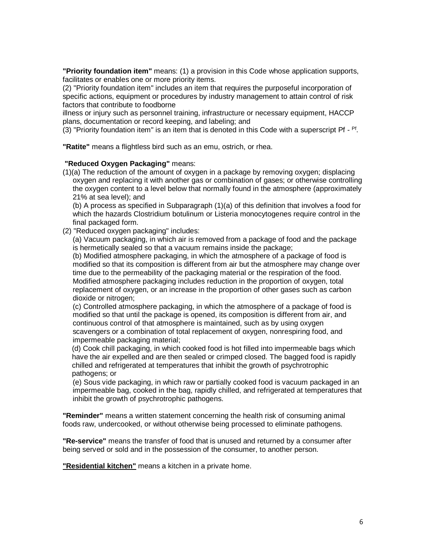**"Priority foundation item"** means: (1) a provision in this Code whose application supports, facilitates or enables one or more priority items.

(2) "Priority foundation item" includes an item that requires the purposeful incorporation of specific actions, equipment or procedures by industry management to attain control of risk factors that contribute to foodborne

illness or injury such as personnel training, infrastructure or necessary equipment, HACCP plans, documentation or record keeping, and labeling; and

(3) "Priority foundation item" is an item that is denoted in this Code with a superscript Pf -  $Pf$ .

**"Ratite"** means a flightless bird such as an emu, ostrich, or rhea.

#### **"Reduced Oxygen Packaging"** means:

(1)(a) The reduction of the amount of oxygen in a package by removing oxygen; displacing oxygen and replacing it with another gas or combination of gases; or otherwise controlling the oxygen content to a level below that normally found in the atmosphere (approximately 21% at sea level); and

(b) A process as specified in Subparagraph (1)(a) of this definition that involves a food for which the hazards Clostridium botulinum or Listeria monocytogenes require control in the final packaged form.

(2) "Reduced oxygen packaging" includes:

(a) Vacuum packaging, in which air is removed from a package of food and the package is hermetically sealed so that a vacuum remains inside the package;

(b) Modified atmosphere packaging, in which the atmosphere of a package of food is modified so that its composition is different from air but the atmosphere may change over time due to the permeability of the packaging material or the respiration of the food. Modified atmosphere packaging includes reduction in the proportion of oxygen, total replacement of oxygen, or an increase in the proportion of other gases such as carbon dioxide or nitrogen;

(c) Controlled atmosphere packaging, in which the atmosphere of a package of food is modified so that until the package is opened, its composition is different from air, and continuous control of that atmosphere is maintained, such as by using oxygen scavengers or a combination of total replacement of oxygen, nonrespiring food, and impermeable packaging material;

(d) Cook chill packaging, in which cooked food is hot filled into impermeable bags which have the air expelled and are then sealed or crimped closed. The bagged food is rapidly chilled and refrigerated at temperatures that inhibit the growth of psychrotrophic pathogens; or

(e) Sous vide packaging, in which raw or partially cooked food is vacuum packaged in an impermeable bag, cooked in the bag, rapidly chilled, and refrigerated at temperatures that inhibit the growth of psychrotrophic pathogens.

**"Reminder"** means a written statement concerning the health risk of consuming animal foods raw, undercooked, or without otherwise being processed to eliminate pathogens.

**"Re-service"** means the transfer of food that is unused and returned by a consumer after being served or sold and in the possession of the consumer, to another person.

**"Residential kitchen"** means a kitchen in a private home.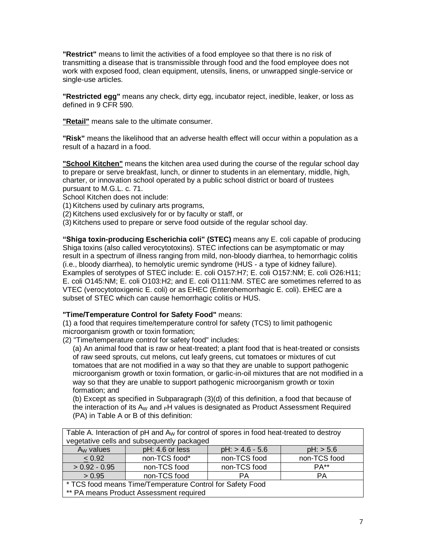**"Restrict"** means to limit the activities of a food employee so that there is no risk of transmitting a disease that is transmissible through food and the food employee does not work with exposed food, clean equipment, utensils, linens, or unwrapped single-service or single-use articles.

**"Restricted egg"** means any check, dirty egg, incubator reject, inedible, leaker, or loss as defined in 9 CFR 590.

**"Retail"** means sale to the ultimate consumer.

**"Risk"** means the likelihood that an adverse health effect will occur within a population as a result of a hazard in a food.

**"School Kitchen"** means the kitchen area used during the course of the regular school day to prepare or serve breakfast, lunch, or dinner to students in an elementary, middle, high, charter, or innovation school operated by a public school district or board of trustees pursuant to M.G.L. c. 71.

School Kitchen does not include:

(1) Kitchens used by culinary arts programs,

(2) Kitchens used exclusively for or by faculty or staff, or

(3) Kitchens used to prepare or serve food outside of the regular school day.

**"Shiga toxin-producing Escherichia coli" (STEC)** means any E. coli capable of producing Shiga toxins (also called verocytotoxins). STEC infections can be asymptomatic or may result in a spectrum of illness ranging from mild, non-bloody diarrhea, to hemorrhagic colitis (i.e., bloody diarrhea), to hemolytic uremic syndrome (HUS - a type of kidney failure). Examples of serotypes of STEC include: E. coli O157:H7; E. coli O157:NM; E. coli O26:H11; E. coli O145:NM; E. coli O103:H2; and E. coli O111:NM. STEC are sometimes referred to as VTEC (verocytotoxigenic E. coli) or as EHEC (Enterohemorrhagic E. coli). EHEC are a subset of STEC which can cause hemorrhagic colitis or HUS.

#### **"Time/Temperature Control for Safety Food"** means:

(1) a food that requires time/temperature control for safety (TCS) to limit pathogenic microorganism growth or toxin formation;

(2) "Time/temperature control for safety food" includes:

(a) An animal food that is raw or heat-treated; a plant food that is heat-treated or consists of raw seed sprouts, cut melons, cut leafy greens, cut tomatoes or mixtures of cut tomatoes that are not modified in a way so that they are unable to support pathogenic microorganism growth or toxin formation, or garlic-in-oil mixtures that are not modified in a way so that they are unable to support pathogenic microorganism growth or toxin formation; and

(b) Except as specified in Subparagraph (3)(d) of this definition, a food that because of the interaction of its  $A_W$  and  $pH$  values is designated as Product Assessment Required (PA) in Table A or B of this definition:

| I able A. Interaction of pH and A <sub>W</sub> for control of spores in food heat-treated to destroy |                 |                   |              |  |  |  |
|------------------------------------------------------------------------------------------------------|-----------------|-------------------|--------------|--|--|--|
| vegetative cells and subsequently packaged                                                           |                 |                   |              |  |  |  |
| $A_W$ values                                                                                         | pH: 4.6 or less | $pH:$ > 4.6 - 5.6 | pH: > 5.6    |  |  |  |
| < 0.92                                                                                               | non-TCS food*   | non-TCS food      | non-TCS food |  |  |  |
| $> 0.92 - 0.95$                                                                                      | non-TCS food    | non-TCS food      | PA**         |  |  |  |
| > 0.95                                                                                               | non-TCS food    | PА                | PA           |  |  |  |
| * TCS food means Time/Temperature Control for Safety Food                                            |                 |                   |              |  |  |  |
| ** PA means Product Assessment required                                                              |                 |                   |              |  |  |  |

 $\tau$  Table A. Internaction of pH and A. for control of sponsor in food heat-treated to destroy